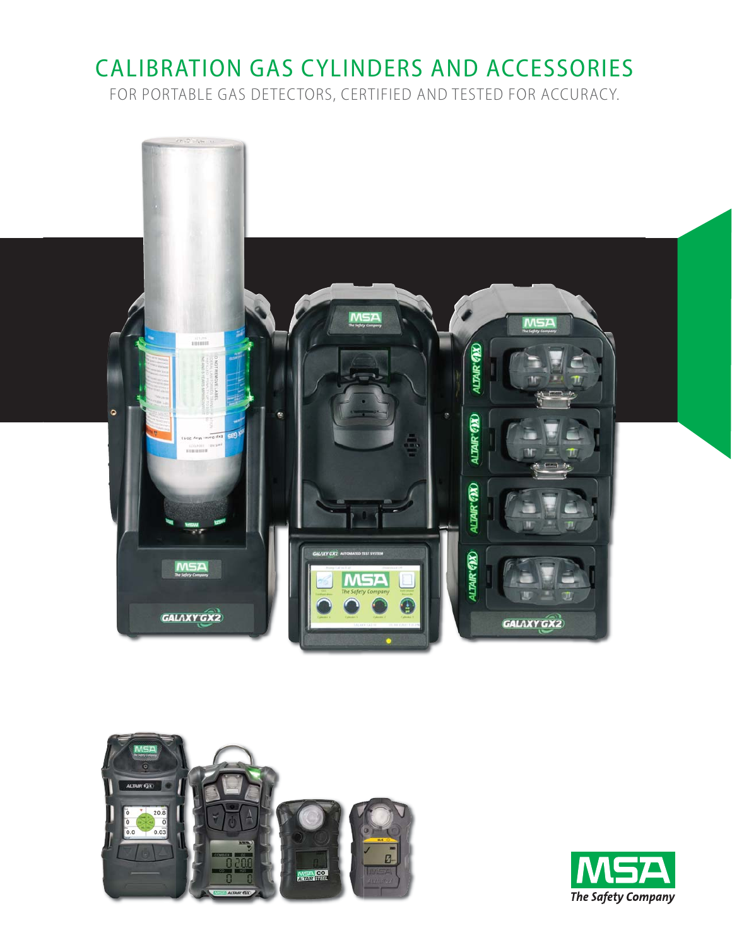## CALIBRATION GAS CYLINDERS AND ACCESSORIES

FOR PORTABLE GAS DETECTORS, CERTIFIED AND TESTED FOR ACCURACY.





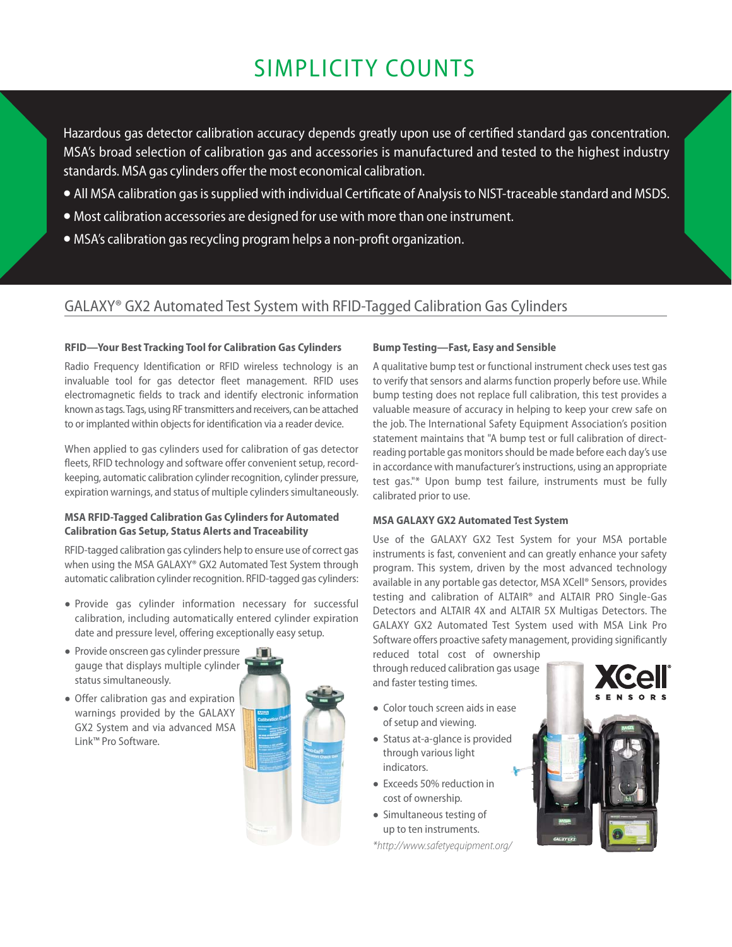## SIMPLICITY COUNTS

Hazardous gas detector calibration accuracy depends greatly upon use of certified standard gas concentration. MSA's broad selection of calibration gas and accessories is manufactured and tested to the highest industry standards. MSA gas cylinders offer the most economical calibration.

- All MSA calibration gas is supplied with individual Certificate of Analysis to NIST-traceable standard and MSDS.
- Most calibration accessories are designed for use with more than one instrument.
- MSA's calibration gas recycling program helps a non-profit organization.

### GALAXY® GX2 Automated Test System with RFID-Tagged Calibration Gas Cylinders

#### **RFID—Your Best Tracking Tool for Calibration Gas Cylinders**

Radio Frequency Identification or RFID wireless technology is an invaluable tool for gas detector fleet management. RFID uses electromagnetic fields to track and identify electronic information known as tags. Tags, using RF transmitters and receivers, can be attached to or implanted within objects for identification via a reader device.

When applied to gas cylinders used for calibration of gas detector fleets, RFID technology and software offer convenient setup, recordkeeping, automatic calibration cylinder recognition, cylinder pressure, expiration warnings, and status of multiple cylinders simultaneously.

#### **MSA RFID-Tagged Calibration Gas Cylinders for Automated Calibration Gas Setup, Status Alerts and Traceability**

RFID-tagged calibration gas cylinders help to ensure use of correct gas when using the MSA GALAXY® GX2 Automated Test System through automatic calibration cylinder recognition. RFID-tagged gas cylinders:

- Provide gas cylinder information necessary for successful calibration, including automatically entered cylinder expiration date and pressure level, offering exceptionally easy setup.
- Provide onscreen gas cylinder pressure gauge that displays multiple cylinder status simultaneously.
- Offer calibration gas and expiration warnings provided by the GALAXY GX2 System and via advanced MSA Link™ Pro Software.



#### **Bump Testing—Fast, Easy and Sensible**

A qualitative bump test or functional instrument check uses test gas to verify that sensors and alarms function properly before use. While bump testing does not replace full calibration, this test provides a valuable measure of accuracy in helping to keep your crew safe on the job. The International Safety Equipment Association's position statement maintains that "A bump test or full calibration of directreading portable gas monitors should be made before each day's use in accordance with manufacturer's instructions, using an appropriate test gas."\* Upon bump test failure, instruments must be fully calibrated prior to use.

#### **MSA GALAXY GX2 Automated Test System**

Use of the GALAXY GX2 Test System for your MSA portable instruments is fast, convenient and can greatly enhance your safety program. This system, driven by the most advanced technology available in any portable gas detector, MSA XCell® Sensors, provides testing and calibration of ALTAIR® and ALTAIR PRO Single-Gas Detectors and ALTAIR 4X and ALTAIR 5X Multigas Detectors. The GALAXY GX2 Automated Test System used with MSA Link Pro Software offers proactive safety management, providing significantly

reduced total cost of ownership through reduced calibration gas usage and faster testing times.

- Color touch screen aids in ease of setup and viewing.
- Status at-a-glance is provided through various light indicators.
- Exceeds 50% reduction in cost of ownership.
- Simultaneous testing of up to ten instruments.

*\*http://www.safetyequipment.org/* 



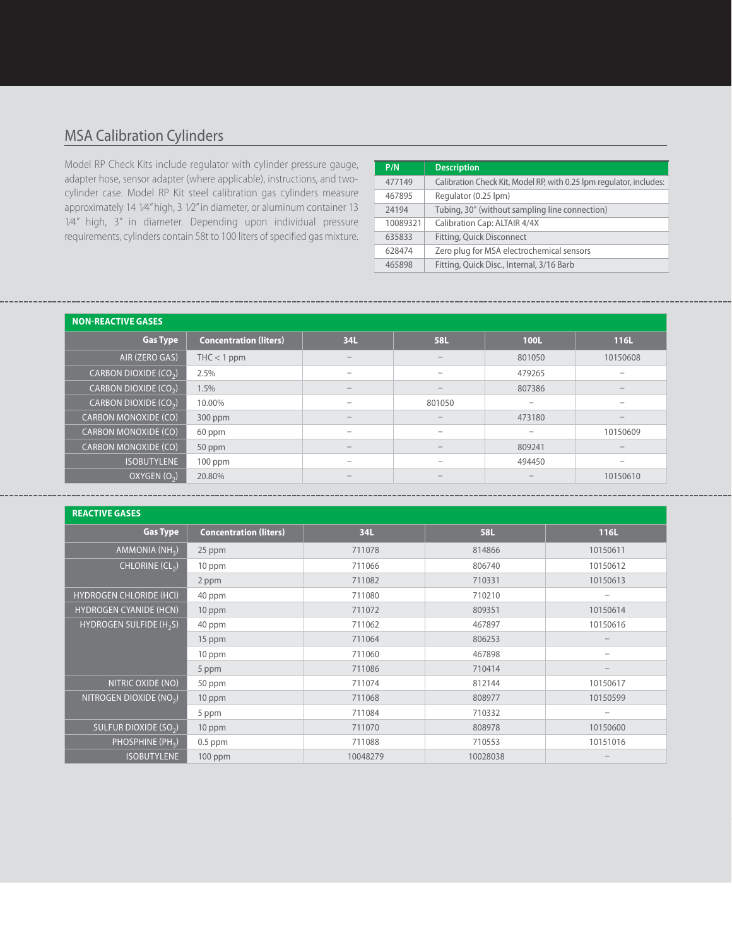### MSA Calibration Cylinders

Model RP Check Kits include regulator with cylinder pressure gauge, adapter hose, sensor adapter (where applicable), instructions, and twocylinder case. Model RP Kit steel calibration gas cylinders measure approximately 14 1⁄4" high, 3 1⁄2" in diameter, or aluminum container 13 1⁄4" high, 3" in diameter. Depending upon individual pressure requirements, cylinders contain 58t to 100 liters of specified gas mixture.

| P/N      | <b>Description</b>                                                  |
|----------|---------------------------------------------------------------------|
| 477149   | Calibration Check Kit, Model RP, with 0.25 lpm regulator, includes: |
| 467895   | Regulator (0.25 lpm)                                                |
| 24194    | Tubing, 30" (without sampling line connection)                      |
| 10089321 | Calibration Cap: ALTAIR 4/4X                                        |
| 635833   | Fitting, Quick Disconnect                                           |
| 628474   | Zero plug for MSA electrochemical sensors                           |
| 465898   | Fitting, Quick Disc., Internal, 3/16 Barb                           |

| <b>NON-REACTIVE GASES</b>         |                               |                                                                           |                                 |                 |                          |  |  |  |
|-----------------------------------|-------------------------------|---------------------------------------------------------------------------|---------------------------------|-----------------|--------------------------|--|--|--|
| <b>Gas Type</b>                   | <b>Concentration (liters)</b> | 34L                                                                       | <b>58L</b>                      | <b>100L</b>     | 116L                     |  |  |  |
| AIR (ZERO GAS)                    | $THC < 1$ ppm                 | $\overline{\phantom{a}}$                                                  | $\overline{\phantom{a}}$        | 801050          | 10150608                 |  |  |  |
| CARBON DIOXIDE $(CO_2)$           | 2.5%                          | $\hspace{0.1mm}-\hspace{0.1mm}$                                           | $\overline{\phantom{a}}$        | 479265          | $\qquad \qquad -$        |  |  |  |
| CARBON DIOXIDE (CO <sub>2</sub> ) | 1.5%                          | $\qquad \qquad -$                                                         | $\hspace{0.1mm}-\hspace{0.1mm}$ | 807386          | $\qquad \qquad -$        |  |  |  |
| CARBON DIOXIDE $(CO2)$            | 10.00%                        | $\qquad \qquad -$                                                         | 801050                          | -               | $\overline{\phantom{a}}$ |  |  |  |
| <b>CARBON MONOXIDE (CO)</b>       | 300 ppm                       | $\overline{\phantom{a}}$                                                  | $\overline{\phantom{a}}$        | 473180          | $\overline{\phantom{a}}$ |  |  |  |
| <b>CARBON MONOXIDE (CO)</b>       | 60 ppm                        | $\hspace{1.0cm} \rule{1.5cm}{0.15cm} \hspace{1.0cm} \rule{1.5cm}{0.15cm}$ | $\overline{\phantom{a}}$        | -               | 10150609                 |  |  |  |
| <b>CARBON MONOXIDE (CO)</b>       | 50 ppm                        | $\overline{\phantom{a}}$                                                  |                                 | 809241          | $\overline{\phantom{a}}$ |  |  |  |
| <b>ISOBUTYLENE</b>                | $100$ ppm                     | $\overline{\phantom{0}}$                                                  | $\overline{\phantom{a}}$        | 494450          | $\qquad \qquad$          |  |  |  |
| OXYGEN (O <sub>2</sub> )          | 20.80%                        | $\overline{\phantom{a}}$                                                  |                                 | $\qquad \qquad$ | 10150610                 |  |  |  |

| <b>REACTIVE GASES</b>               |                               |          |            |                   |  |  |  |  |
|-------------------------------------|-------------------------------|----------|------------|-------------------|--|--|--|--|
| <b>Gas Type</b>                     | <b>Concentration (liters)</b> | 34L      | <b>58L</b> | 116L              |  |  |  |  |
| AMMONIA (NH <sub>3</sub> )          | 25 ppm                        | 711078   | 814866     | 10150611          |  |  |  |  |
| CHLORINE (CL <sub>2</sub> )         | 10 ppm                        | 711066   | 806740     | 10150612          |  |  |  |  |
|                                     | 2 ppm                         | 711082   | 710331     | 10150613          |  |  |  |  |
| <b>HYDROGEN CHLORIDE (HCI)</b>      | 40 ppm                        | 711080   | 710210     | -                 |  |  |  |  |
| <b>HYDROGEN CYANIDE (HCN)</b>       | 10 ppm                        | 711072   | 809351     | 10150614          |  |  |  |  |
| HYDROGEN SULFIDE (H <sub>2</sub> S) | 40 ppm                        | 711062   | 467897     | 10150616          |  |  |  |  |
|                                     | 15 ppm                        | 711064   | 806253     |                   |  |  |  |  |
|                                     | 10 ppm                        | 711060   | 467898     |                   |  |  |  |  |
|                                     | 5 ppm                         | 711086   | 710414     | $\qquad \qquad -$ |  |  |  |  |
| NITRIC OXIDE (NO)                   | 50 ppm                        | 711074   | 812144     | 10150617          |  |  |  |  |
| NITROGEN DIOXIDE (NO <sub>2</sub> ) | 10 ppm                        | 711068   | 808977     | 10150599          |  |  |  |  |
|                                     | 5 ppm                         | 711084   | 710332     | -                 |  |  |  |  |
| SULFUR DIOXIDE (SO <sub>2</sub> )   | 10 ppm                        | 711070   | 808978     | 10150600          |  |  |  |  |
| PHOSPHINE (PH <sub>3</sub> )        | $0.5$ ppm                     | 711088   | 710553     | 10151016          |  |  |  |  |
| <b>ISOBUTYLENE</b>                  | $100$ ppm                     | 10048279 | 10028038   |                   |  |  |  |  |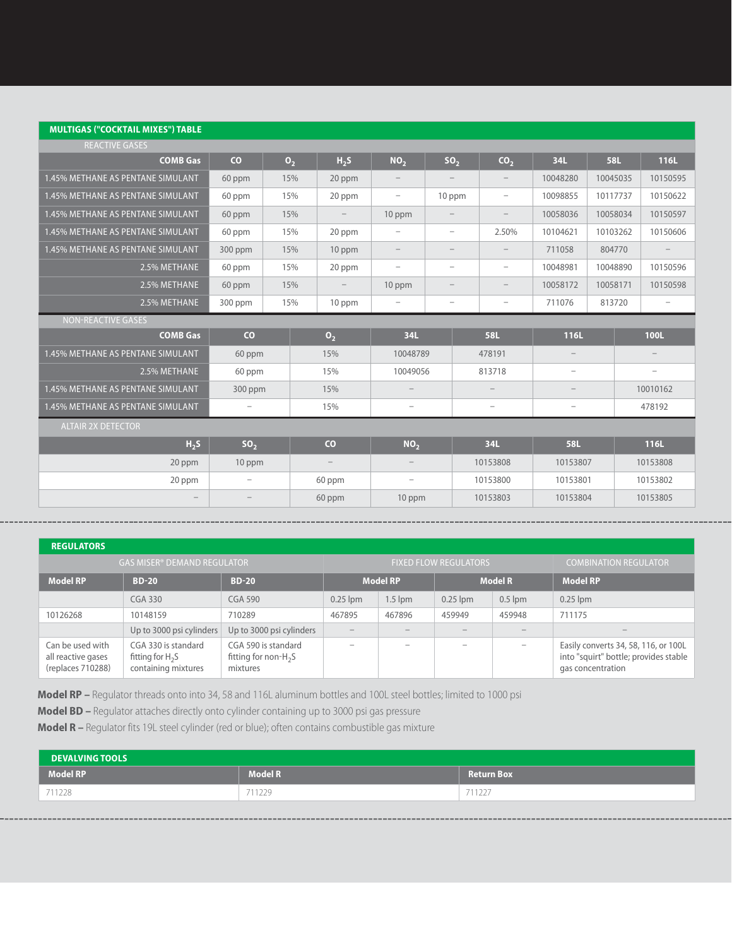#### **MULTIGAS ("COCKTAIL MIXES") TABLE**

| <b>REACTIVE GASES</b>             |                   |                |     |                          |                                 |                          |                          |                          |            |  |                          |
|-----------------------------------|-------------------|----------------|-----|--------------------------|---------------------------------|--------------------------|--------------------------|--------------------------|------------|--|--------------------------|
| <b>COMB Gas</b>                   | co                | $\mathbf{0}_2$ |     | H <sub>2</sub> S         | NO <sub>2</sub>                 | SO <sub>2</sub>          | CO <sub>2</sub>          | 34L                      | <b>58L</b> |  | 116L                     |
| 1.45% METHANE AS PENTANE SIMULANT | 60 ppm            |                | 15% | 20 ppm                   |                                 |                          |                          | 10048280                 | 10045035   |  | 10150595                 |
| 1.45% METHANE AS PENTANE SIMULANT | 60 ppm            |                | 15% | 20 ppm                   | $\overline{\phantom{0}}$        | 10 ppm                   | $\overline{\phantom{m}}$ | 10098855                 | 10117737   |  | 10150622                 |
| 1.45% METHANE AS PENTANE SIMULANT | 60 ppm            |                | 15% |                          | 10 ppm                          |                          |                          | 10058036                 | 10058034   |  | 10150597                 |
| 1.45% METHANE AS PENTANE SIMULANT | 60 ppm            |                | 15% | 20 ppm                   | $\overline{\phantom{0}}$        | $\overline{\phantom{0}}$ | 2.50%                    | 10104621                 | 10103262   |  | 10150606                 |
| 1.45% METHANE AS PENTANE SIMULANT | 300 ppm           |                | 15% | 10 ppm                   | $\qquad \qquad -$               | $\overline{\phantom{0}}$ | $\overline{\phantom{m}}$ | 711058                   | 804770     |  |                          |
| 2.5% METHANE                      | 60 ppm            |                | 15% | 20 ppm                   | $\overline{\phantom{0}}$        | $\overline{\phantom{0}}$ | $\overline{\phantom{m}}$ | 10048981                 | 10048890   |  | 10150596                 |
| 2.5% METHANE                      | 60 ppm            |                | 15% |                          | 10 ppm                          | $\overline{\phantom{0}}$ | $\overline{\phantom{m}}$ | 10058172                 | 10058171   |  | 10150598                 |
| 2.5% METHANE                      | 300 ppm           |                | 15% | 10 ppm                   | -                               | $\overline{\phantom{a}}$ | $\overline{\phantom{a}}$ | 711076                   | 813720     |  | $\overline{\phantom{0}}$ |
| <b>NON-REACTIVE GASES</b>         |                   |                |     |                          |                                 |                          |                          |                          |            |  |                          |
| <b>COMB Gas</b>                   | $\overline{c}$    |                |     | $\mathbf{0}$             | 34L                             |                          | <b>58L</b>               | 116L                     |            |  | 100L                     |
| 1.45% METHANE AS PENTANE SIMULANT | 60 ppm            |                |     | 15%                      | 10048789                        |                          | 478191                   |                          |            |  |                          |
| 2.5% METHANE                      | 60 ppm            |                |     | 15%                      | 10049056                        |                          | 813718                   | $\overline{\phantom{0}}$ |            |  | -                        |
| 1.45% METHANE AS PENTANE SIMULANT | 300 ppm           |                |     | 15%                      | $\overline{\phantom{0}}$        |                          |                          | $\overline{\phantom{m}}$ |            |  | 10010162                 |
| 1.45% METHANE AS PENTANE SIMULANT | -                 |                |     | 15%                      | $\overline{\phantom{a}}$        |                          | ۰                        | -                        |            |  | 478192                   |
| <b>ALTAIR 2X DETECTOR</b>         |                   |                |     |                          |                                 |                          |                          |                          |            |  |                          |
| H <sub>2</sub> S                  | SO <sub>2</sub>   |                |     | CO                       | NO <sub>2</sub>                 |                          | 34L                      | <b>58L</b>               |            |  | 116L                     |
|                                   |                   |                |     |                          |                                 |                          |                          |                          |            |  |                          |
| 20 ppm                            | 10 ppm            |                |     | $\overline{\phantom{m}}$ | $\hspace{0.1mm}-\hspace{0.1mm}$ |                          | 10153808                 | 10153807                 |            |  | 10153808                 |
| 20 ppm                            | $\qquad \qquad -$ |                |     | 60 ppm                   | $\overline{\phantom{a}}$        |                          | 10153800                 | 10153801                 |            |  | 10153802                 |

| <b>REGULATORS</b>                                           |                                                                  |                                                            |            |                 |                              |                          |                                                                                                    |
|-------------------------------------------------------------|------------------------------------------------------------------|------------------------------------------------------------|------------|-----------------|------------------------------|--------------------------|----------------------------------------------------------------------------------------------------|
|                                                             | <b>GAS MISER® DEMAND REGULATOR</b>                               |                                                            |            |                 | <b>FIXED FLOW REGULATORS</b> |                          | <b>COMBINATION REGULATOR</b>                                                                       |
| <b>Model RP</b>                                             | <b>BD-20</b>                                                     | <b>BD-20</b>                                               |            | <b>Model RP</b> |                              | <b>Model R</b>           | <b>Model RP</b>                                                                                    |
|                                                             | CGA 330                                                          | CGA 590                                                    | $0.25$ lpm | $1.5$ lpm       | $0.25$ lpm                   | $0.5$ lpm                | $0.25$ lpm                                                                                         |
| 10126268                                                    | 10148159                                                         | 710289                                                     | 467895     | 467896          | 459949                       | 459948                   | 711175                                                                                             |
|                                                             | Up to 3000 psi cylinders                                         | Up to 3000 psi cylinders                                   |            |                 |                              |                          |                                                                                                    |
| Can be used with<br>all reactive gases<br>(replaces 710288) | CGA 330 is standard<br>fitting for $H_2S$<br>containing mixtures | CGA 590 is standard<br>fitting for non- $H_2S$<br>mixtures |            |                 |                              | $\overline{\phantom{a}}$ | Easily converts 34, 58, 116, or 100L<br>into "squirt" bottle; provides stable<br>gas concentration |

**Model RP –** Regulator threads onto into 34, 58 and 116L aluminum bottles and 100L steel bottles; limited to 1000 psi

**Model BD –** Regulator attaches directly onto cylinder containing up to 3000 psi gas pressure

**Model R –** Regulator fits 19L steel cylinder (red or blue); often contains combustible gas mixture

| <b>DEVALVING TOOLS</b> |                |                   |  |  |  |  |  |
|------------------------|----------------|-------------------|--|--|--|--|--|
| <b>Model RP</b>        | <b>Model R</b> | <b>Return Box</b> |  |  |  |  |  |
| 711228                 | 711229         | 711227            |  |  |  |  |  |
|                        |                |                   |  |  |  |  |  |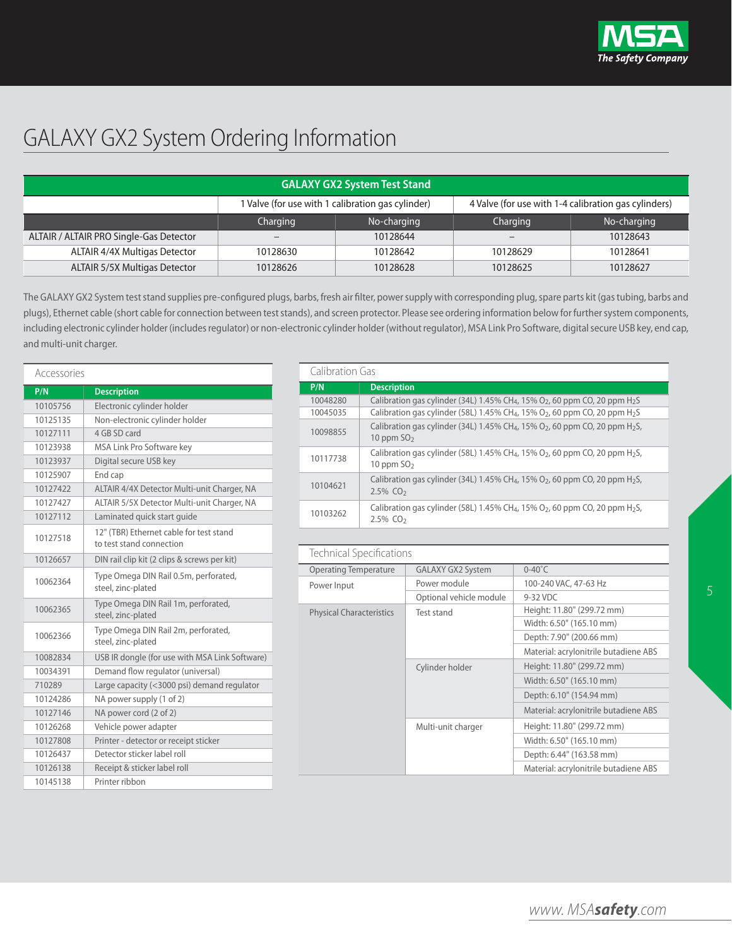

# GALAXY GX2 System Ordering Information

| <b>GALAXY GX2 System Test Stand</b>     |                                                                                                           |             |          |             |  |  |  |  |
|-----------------------------------------|-----------------------------------------------------------------------------------------------------------|-------------|----------|-------------|--|--|--|--|
|                                         | 1 Valve (for use with 1 calibration gas cylinder)<br>4 Valve (for use with 1-4 calibration gas cylinders) |             |          |             |  |  |  |  |
|                                         | Charging                                                                                                  | No-charging | Charging | No-charging |  |  |  |  |
| ALTAIR / ALTAIR PRO Single-Gas Detector | $\overline{\phantom{m}}$                                                                                  | 10128644    |          | 10128643    |  |  |  |  |
| ALTAIR 4/4X Multigas Detector           | 10128630                                                                                                  | 10128642    | 10128629 | 10128641    |  |  |  |  |
| <b>ALTAIR 5/5X Multigas Detector</b>    | 10128626                                                                                                  | 10128628    | 10128625 | 10128627    |  |  |  |  |

The GALAXY GX2 System test stand supplies pre-configured plugs, barbs, fresh air filter, power supply with corresponding plug, spare parts kit (gas tubing, barbs and plugs), Ethernet cable (short cable for connection between test stands), and screen protector. Please see ordering information below for further system components, including electronic cylinder holder (includes regulator) or non-electronic cylinder holder (without regulator), MSA Link Pro Software, digital secure USB key, end cap, and multi-unit charger.

| Accessories |                                                                     |
|-------------|---------------------------------------------------------------------|
| P/N         | <b>Description</b>                                                  |
| 10105756    | Electronic cylinder holder                                          |
| 10125135    | Non-electronic cylinder holder                                      |
| 10127111    | 4 GB SD card                                                        |
| 10123938    | MSA Link Pro Software key                                           |
| 10123937    | Digital secure USB key                                              |
| 10125907    | End cap                                                             |
| 10127422    | ALTAIR 4/4X Detector Multi-unit Charger, NA                         |
| 10127427    | ALTAIR 5/5X Detector Multi-unit Charger, NA                         |
| 10127112    | Laminated quick start quide                                         |
| 10127518    | 12" (TBR) Ethernet cable for test stand<br>to test stand connection |
| 10126657    | DIN rail clip kit (2 clips & screws per kit)                        |
| 10062364    | Type Omega DIN Rail 0.5m, perforated,<br>steel, zinc-plated         |
| 10062365    | Type Omega DIN Rail 1m, perforated,<br>steel, zinc-plated           |
| 10062366    | Type Omega DIN Rail 2m, perforated,<br>steel, zinc-plated           |
| 10082834    | USB IR dongle (for use with MSA Link Software)                      |
| 10034391    | Demand flow regulator (universal)                                   |
| 710289      | Large capacity (<3000 psi) demand regulator                         |
| 10124286    | NA power supply (1 of 2)                                            |
| 10127146    | NA power cord (2 of 2)                                              |
| 10126268    | Vehicle power adapter                                               |
| 10127808    | Printer - detector or receipt sticker                               |
| 10126437    | Detector sticker label roll                                         |
| 10126138    | Receipt & sticker label roll                                        |
| 10145138    | Printer ribbon                                                      |

| Calibration Gas |                                                                                                                                            |  |  |  |  |  |
|-----------------|--------------------------------------------------------------------------------------------------------------------------------------------|--|--|--|--|--|
| P/N             | <b>Description</b>                                                                                                                         |  |  |  |  |  |
| 10048280        | Calibration gas cylinder (34L) 1.45% CH <sub>4</sub> , 15% O <sub>2</sub> , 60 ppm CO, 20 ppm H <sub>2</sub> S                             |  |  |  |  |  |
| 10045035        | Calibration gas cylinder (58L) 1.45% CH <sub>4</sub> , 15% O <sub>2</sub> , 60 ppm CO, 20 ppm H <sub>2</sub> S                             |  |  |  |  |  |
| 10098855        | Calibration gas cylinder (34L) 1.45% CH <sub>4</sub> , 15% O <sub>2</sub> , 60 ppm CO, 20 ppm H <sub>2</sub> S,<br>10 ppm $SO2$            |  |  |  |  |  |
| 10117738        | Calibration gas cylinder (58L) 1.45% CH <sub>4</sub> , 15% O <sub>2</sub> , 60 ppm CO, 20 ppm H <sub>2</sub> S,<br>10 ppm $SO2$            |  |  |  |  |  |
| 10104621        | Calibration gas cylinder (34L) 1.45% CH <sub>4</sub> , 15% O <sub>2</sub> , 60 ppm CO, 20 ppm H <sub>2</sub> S,<br>$2.5\%$ CO <sub>2</sub> |  |  |  |  |  |
| 10103262        | Calibration gas cylinder (58L) 1.45% CH <sub>4</sub> , 15% O <sub>2</sub> , 60 ppm CO, 20 ppm H <sub>2</sub> S,<br>$2.5\%$ CO <sub>2</sub> |  |  |  |  |  |

| Technical Specifications        |                          |                                       |  |  |
|---------------------------------|--------------------------|---------------------------------------|--|--|
| <b>Operating Temperature</b>    | <b>GALAXY GX2 System</b> | $0-40^{\circ}$ C                      |  |  |
| Power Input                     | Power module             | 100-240 VAC, 47-63 Hz                 |  |  |
|                                 | Optional vehicle module  | 9-32 VDC                              |  |  |
| <b>Physical Characteristics</b> | Test stand               | Height: 11.80" (299.72 mm)            |  |  |
|                                 |                          | Width: 6.50" (165.10 mm)              |  |  |
|                                 |                          | Depth: 7.90" (200.66 mm)              |  |  |
|                                 |                          | Material: acrylonitrile butadiene ABS |  |  |
|                                 | Cylinder holder          | Height: 11.80" (299.72 mm)            |  |  |
|                                 |                          | Width: 6.50" (165.10 mm)              |  |  |
|                                 |                          | Depth: 6.10" (154.94 mm)              |  |  |
|                                 |                          | Material: acrylonitrile butadiene ABS |  |  |
|                                 | Multi-unit charger       | Height: 11.80" (299.72 mm)            |  |  |
|                                 |                          | Width: 6.50" (165.10 mm)              |  |  |
|                                 |                          | Depth: 6.44" (163.58 mm)              |  |  |
|                                 |                          | Material: acrylonitrile butadiene ABS |  |  |

*www. MSAsafety.com*